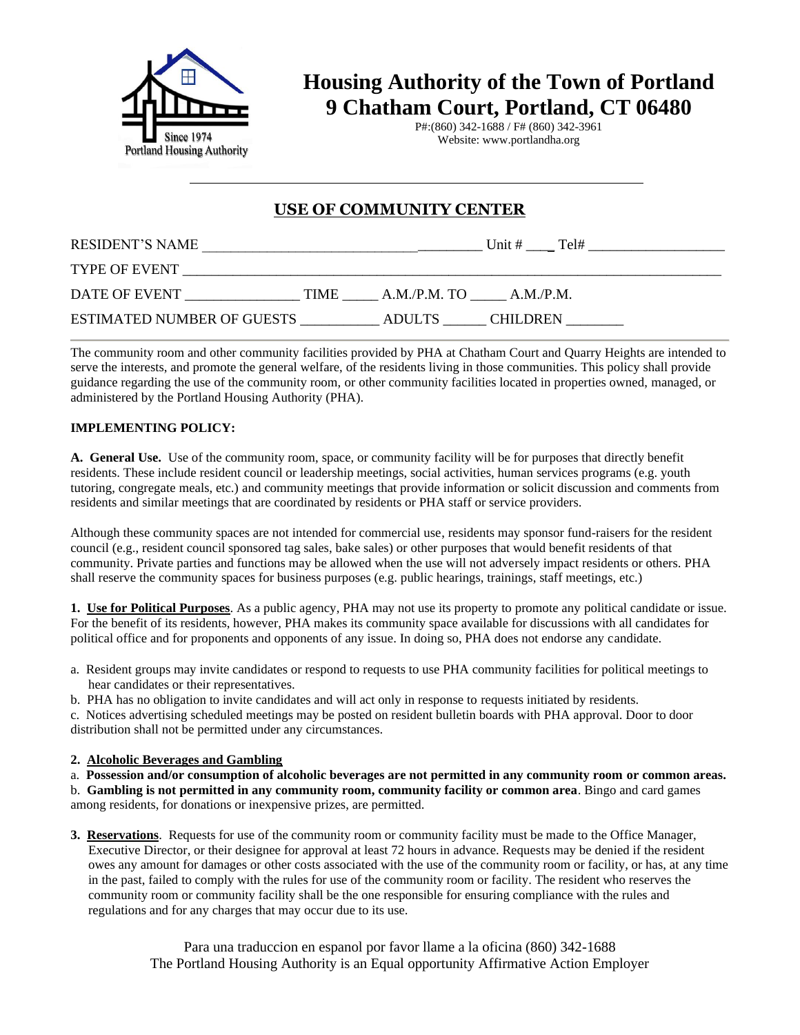

## **Housing Authority of the Town of Portland 9 Chatham Court, Portland, CT 06480**

P#:(860) 342-1688 / F# (860) 342-3961 Website: www.portlandha.org

## **USE OF COMMUNITY CENTER**

| RESIDENT'S NAME                   |             |                          | Unit $#$        | Tel# |
|-----------------------------------|-------------|--------------------------|-----------------|------|
| <b>TYPE OF EVENT</b>              |             |                          |                 |      |
| DATE OF EVENT                     | <b>TIME</b> | $A.M.P.M. TO$ $A.M.P.M.$ |                 |      |
| <b>ESTIMATED NUMBER OF GUESTS</b> |             | ADULTS                   | <b>CHILDREN</b> |      |

The community room and other community facilities provided by PHA at Chatham Court and Quarry Heights are intended to serve the interests, and promote the general welfare, of the residents living in those communities. This policy shall provide guidance regarding the use of the community room, or other community facilities located in properties owned, managed, or administered by the Portland Housing Authority (PHA).

## **IMPLEMENTING POLICY:**

**A. General Use.** Use of the community room, space, or community facility will be for purposes that directly benefit residents. These include resident council or leadership meetings, social activities, human services programs (e.g. youth tutoring, congregate meals, etc.) and community meetings that provide information or solicit discussion and comments from residents and similar meetings that are coordinated by residents or PHA staff or service providers.

Although these community spaces are not intended for commercial use, residents may sponsor fund-raisers for the resident council (e.g., resident council sponsored tag sales, bake sales) or other purposes that would benefit residents of that community. Private parties and functions may be allowed when the use will not adversely impact residents or others. PHA shall reserve the community spaces for business purposes (e.g. public hearings, trainings, staff meetings, etc.)

**1. Use for Political Purposes**. As a public agency, PHA may not use its property to promote any political candidate or issue. For the benefit of its residents, however, PHA makes its community space available for discussions with all candidates for political office and for proponents and opponents of any issue. In doing so, PHA does not endorse any candidate.

- a. Resident groups may invite candidates or respond to requests to use PHA community facilities for political meetings to hear candidates or their representatives.
- b. PHA has no obligation to invite candidates and will act only in response to requests initiated by residents.

c. Notices advertising scheduled meetings may be posted on resident bulletin boards with PHA approval. Door to door distribution shall not be permitted under any circumstances.

## **2. Alcoholic Beverages and Gambling**

a. **Possession and/or consumption of alcoholic beverages are not permitted in any community room or common areas.**

b. **Gambling is not permitted in any community room, community facility or common area**. Bingo and card games among residents, for donations or inexpensive prizes, are permitted.

**3. Reservations**. Requests for use of the community room or community facility must be made to the Office Manager, Executive Director, or their designee for approval at least 72 hours in advance. Requests may be denied if the resident owes any amount for damages or other costs associated with the use of the community room or facility, or has, at any time in the past, failed to comply with the rules for use of the community room or facility. The resident who reserves the community room or community facility shall be the one responsible for ensuring compliance with the rules and regulations and for any charges that may occur due to its use.

> Para una traduccion en espanol por favor llame a la oficina (860) 342-1688 The Portland Housing Authority is an Equal opportunity Affirmative Action Employer